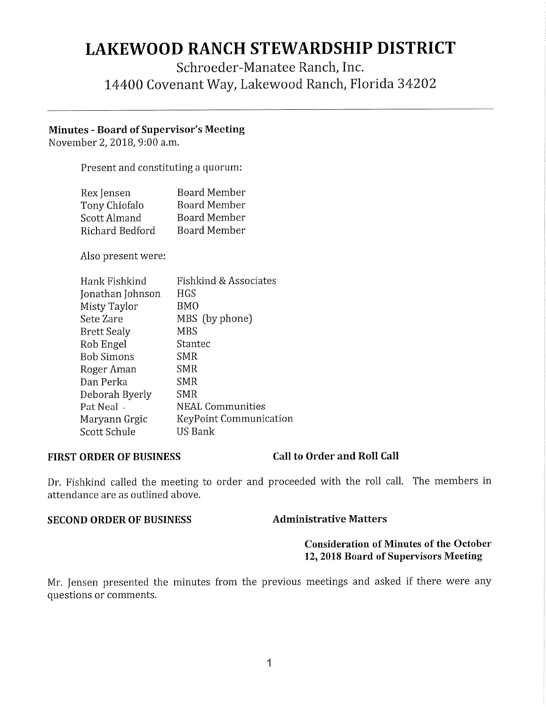# **LAKEWOOD RANCH STEWARDSHIP DISTRICT**

## Schroeder-Manatee Ranch, Inc. 14400 Covenant Way, Lakewood Ranch, Florida 34202

### **Minutes** - **Board of Supervisor's Meeting**

November 2, 2018, 9:00 a.m.

Present and constituting a quorum:

| Rex Jensen      | <b>Board Member</b> |
|-----------------|---------------------|
| Tony Chiofalo   | <b>Board Member</b> |
| Scott Almand    | <b>Board Member</b> |
| Richard Bedford | <b>Board Member</b> |

Also present were:

| Hank Fishkind      | Fishkind & Associates   |
|--------------------|-------------------------|
| Jonathan Johnson   | <b>HGS</b>              |
| Misty Taylor       | <b>BMO</b>              |
| Sete Zare          | MBS (by phone)          |
| <b>Brett Sealy</b> | <b>MBS</b>              |
| Rob Engel          | Stantec                 |
| <b>Bob Simons</b>  | SMR                     |
| Roger Aman         | <b>SMR</b>              |
| Dan Perka          | <b>SMR</b>              |
| Deborah Byerly     | <b>SMR</b>              |
| Pat Neal.          | <b>NEAL Communities</b> |
| Maryann Grgic      | KeyPoint Communication  |
| Scott Schule       | US Bank                 |

### **FIRST ORDER OF BUSINESS Call to Order and Roll Call**

Dr. Fishkind called the meeting to order and proceeded with the roll call. The members in attendance are as outlined above.

#### **SECOND ORDER OF BUSINESS Administrative Matters**

#### **Consideration of Minutes of the October 12, 2018 Board of Supervisors Meeting**

Mr. Jensen presented the minutes from the previous meetings and asked if there were any questions or comments.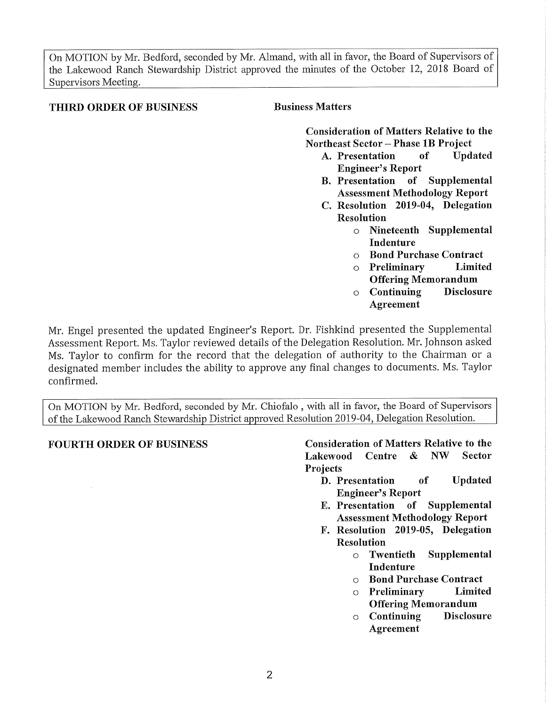On MOTION by Mr. Bedford, seconded by Mr. Almand, with all in favor, the Board of Supervisors of the Lakewood Ranch Stewardship District approved the minutes of the October 12, 2018 Board of Supervisors Meeting.

#### **THIRD ORDER OF BUSINESS Business Matters**

**Consideration of Matters Relative to the Northeast Sector** - **Phase lB Project** 

- **A. Presentation of Updated Engineer's Report**
- **B. Presentation of Supplemental Assessment Methodology Report**
- **C. Resolution 2019-04, Delegation Resolution** 
	- <sup>o</sup>**Nineteenth Supplemental Indenture**
	- <sup>o</sup>**Bond Purchase Contract**
	- <sup>o</sup>**Preliminary Limited Offering Memorandum**
	- <sup>o</sup>**Continuing Disclosure Agreement**

Mr. Engel presented the updated Engineer's Report. Dr. Fishkind presented the Supplemental Assessment Report. Ms. Taylor reviewed details of the Delegation Resolution. Mr. Johnson asked Ms. Taylor to confirm for the record that the delegation of authority to the Chairman or <sup>a</sup> designated member includes the ability to approve any final changes to documents. Ms. Taylor confirmed.

On MOTION by Mr. Bedford, seconded by Mr. Chiofalo , with all in favor, the Board of Supervisors ofthe Lakewood Ranch Stewardship District approved Resolution 2019-04, Delegation Resolution.

**FOURTH ORDER OF BUSINESS Consideration of Matters Relative to the Lakewood Centre** & **NW Sector Projects** 

- **D. Presentation of Updated Engineer's Report**
- **E. Presentation of Supplemental Assessment Methodology Report**
- **F. Resolution 2019-05, Delegation Resolution** 
	- <sup>o</sup>**Twentieth Supplemental Indenture**
	- <sup>o</sup>**Bond Purchase Contract**
	- <sup>o</sup>**Preliminary Limited Offering Memorandum**
	- <sup>o</sup>**Continuing Disclosure Agreement**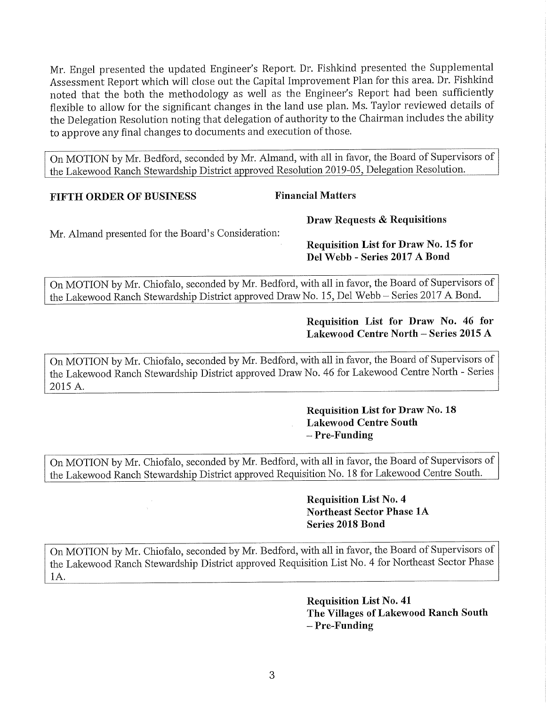Mr. Engel presented the updated Engineer's Report. Dr. Fishkind presented the Supplemental Assessment Report which will close out the Capital Improvement Plan for this area. Dr. Fishkind noted that the both the methodology as well as the Engineer's Report had been sufficiently flexible to allow for the significant changes in the land use plan. Ms. Taylor reviewed details of the Delegation Resolution noting that delegation of authority to the Chairman includes the ability to approve any final changes to documents and execution of those.

On MOTION by Mr. Bedford, seconded by Mr. Almand, with all in favor, the Board of Supervisors of the Lakewood Ranch Stewardship District approved Resolution 2019-05, Delegation Resolution.

#### **FIFTH ORDER OF BUSINESS** Financial Matters

**Draw Requests & Requisitions** 

Mr. Almand presented for the Board's Consideration:

**Requisition List for Draw No. 15 for Del Webb - Series 2017 A Bond** 

On MOTION by Mr. Chiofalo, seconded by Mr. Bedford, with all in favor, the Board of Supervisors of the Lakewood Ranch Stewardship District approved Draw No. 15, Del Webb - Series 2017 A Bond.

### **Requisition List for Draw No. 46 for Lakewood Centre North-Series 2015 A**

On MOTION by Mr. Chiofalo, seconded by Mr. Bedford, with all in favor, the Board of Supervisors of the Lakewood Ranch Stewardship District approved Draw No. 46 for Lakewood Centre North - Series 2015 A.

### **Requisition List for Draw No. 18 Lakewood Centre South**  - **Pre-Funding**

On MOTION by Mr. Chiofalo, seconded by Mr. Bedford, with all in favor, the Board of Supervisors of the Lakewood Ranch Stewardship District approved Requisition No. 18 for Lakewood Centre South.

### **Requisition List No. 4 Northeast Sector Phase lA Series 2018 Bond**

On MOTION by Mr. Chiofalo, seconded by Mr. Bedford, with all in favor, the Board of Supervisors of the Lakewood Ranch Stewardship District approved Requisition List No. 4 for Northeast Sector Phase IA.

> **Requisition List No. 41 The Villages of Lakewood Ranch South**  - **Pre-Funding**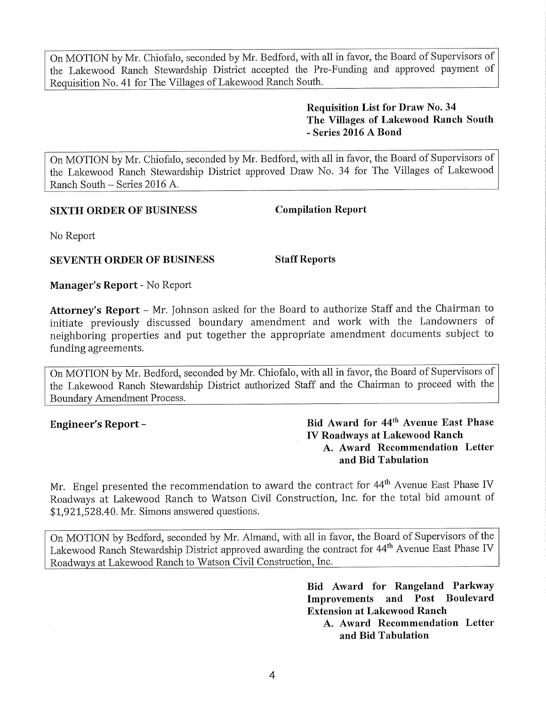On MOTION by Mr. Chiofalo, seconded by Mr. Bedford, with all in favor, the Board of Supervisors of the Lakewood Ranch Stewardship District accepted the Pre-Funding and approved payment of Requisition No. 41 for The Villages of Lakewood Ranch South.

> **Requisition List for Draw No. 34 The Villages of Lakewood Ranch South**  - **Series 2016 A Bond**

On MOTION by Mr. Chiofalo, seconded by Mr. Bedford, with all in favor, the Board of Supervisors of the Lakewood Ranch Stewardship District approved Draw No. 34 for The Villages of Lakewood Ranch South - Series 2016 A.

#### **SIXTH ORDER OF BUSINESS Compilation Report**

No Report

#### **SEVENTH ORDER OF BUSINESS Staff Reports**

**Manager's Report-** No Report

**Attorney's Report** - Mr. Johnson asked for the Board to authorize Staff and the Chairman to initiate previously discussed boundary amendment and work with the Landowners of neighboring properties and put together the appropriate amendment documents subject to funding agreements.

On MOTION by Mr. Bedford, seconded by Mr. Chiofalo, with all in favor, the Board of Supervisors of the Lakewood Ranch Stewardship District authorized Staff and the Chairman to proceed with the Boundary Amendment Process.

**Engineer's Report** - **Bid Award for 44th Avenue East Phase IV Roadways at Lakewood Ranch A. Award Recommendation Letter and Bid Tabulation** 

Mr. Engel presented the recommendation to award the contract for 44<sup>th</sup> Avenue East Phase IV Roadways at Lakewood Ranch to Watson Civil Construction, Inc. for the total bid amount of \$[1,921,528.40](https://1,921,528.40). Mr. Simons answered questions.

On MOTION by Bedford, seconded by Mr. Almand, with all in favor, the Board of Supervisors of the Lakewood Ranch Stewardship District approved awarding the contract for 44th Avenue East Phase IV Roadways at Lakewood Ranch to Watson Civil Construction, Inc.

> **Bid Award for Rangeland Parkway Improvements and Post Boulevard Extension at Lakewood Ranch**

**A. Award Recommendation Letter and Bid Tabulation**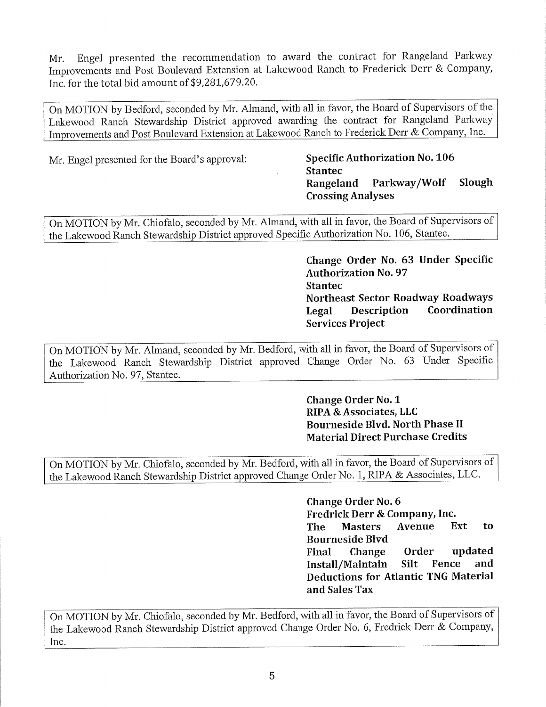Mr. Engel presented the recommendation to award the contract for Rangeland Parkway Improvements and Post Boulevard Extension at Lakewood Ranch to Frederick Derr & Company, Inc. for the total bid amount of \$[9,281,679.20](https://9,281,679.20).

On MOTION by Bedford, seconded by Mr. Almand, with all in favor, the Board of Supervisors ofthe Lakewood Ranch Stewardship District approved awarding the contract for Rangeland Parkway Improvements and Post Boulevard Extension at Lakewood Ranch to Frederick Derr & Company, Inc.

Mr. Engel presented for the Board's approval: **Specific Authorization No. <sup>106</sup>**

## **Stantec Rangeland Parkway/Wolf Slough Crossing Analyses**

On MOTION by Mr. Chiofalo, seconded by Mr. Almand, with all in favor, the Board of Supervisors of the Lakewood Ranch Stewardship District approved Specific Authorization No. 106, Stantec.

> **Change Order No. 63 Under Specific Authorization No. 97 Stantec Northeast Sector Roadway Roadways Legal Description Coordination Services Project**

On MOTION by Mr. Almand, seconded by Mr. Bedford, with all in favor, the Board of Supervisors of the Lakewood Ranch Stewardship District approved Change Order No. 63 Under Specific Authorization No. 97, Stantec.

> **Change Order No. 1 RIPA &Associates, LLC Bourneside Blvd. North Phase II Material Direct Purchase Credits**

On MOTION by Mr. Chiofalo, seconded by Mr. Bedford, with all in favor, the Board of Supervisors of the Lakewood Ranch Stewardship District approved Change Order No. 1, RIPA & Associates, LLC.

> **Change Order No. 6 Fredrick Derr & Company, Inc. The Masters Avenue Ext to Bourneside Blvd Final Change Order updated Install/Maintain Silt Fence and Deductions for Atlantic TNG Material and Sales Tax**

On MOTION by Mr. Chiofalo, seconded by Mr. Bedford, with all in favor, the Board of Supervisors of the Lakewood Ranch Stewardship District approved Change Order No. 6, Fredrick Derr & Company, Inc.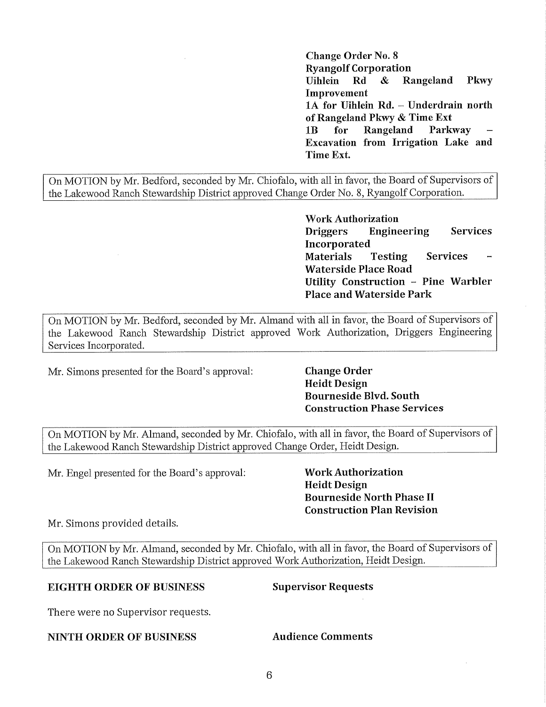**Change Order No. 8 Ryangolf Corporation Uihlein Rd & Rangeland Pkwy Improvement lA for Uihlein Rd. - Underdrain north of Rangeland Pkwy & Time Ext lB for Rangeland Parkway Excavation from Irrigation Lake and Time Ext.** 

On MOTION by Mr. Bedford, seconded by Mr. Chiofalo, with all in favor, the Board of Supervisors of the Lakewood Ranch Stewardship District approved Change Order No. 8, Ryangolf Corporation.

> **Work Authorization Driggers Engineering Services Incorporated Materials Testing Services Waterside Place Road Utility Construction - Pine Warbler Place and Waterside Park**

On MOTION by Mr. Bedford, seconded by Mr. Almand with all in favor, the Board of Supervisors of the Lakewood Ranch Stewardship District approved Work Authorization, Driggers Engineering Services Incorporated.

Mr. Simons presented for the Board's approval: **Change Order** 

**Heidt Design Bourneside Blvd. South Construction Phase Services** 

On MOTION by Mr. Almand, seconded by Mr. Chiofalo, with all in favor, the Board of Supervisors of the Lakewood Ranch Stewardship District approved Change Order, Heidt Design.

Mr. Engel presented for the Board's approval: **Work Authorization** 

**Heidt Design Bourneside North Phase II Construction Plan Revision** 

Mr. Simons provided details.

On MOTION by Mr. Almand, seconded by Mr. Chiofalo, with all in favor, the Board of Supervisors of the Lakewood Ranch Stewardship District approved Work Authorization, Heidt Design.

### **EIGHTH ORDER OF BUSINESS Supervisor Requests**

There were no Supervisor requests.

#### **NINTH ORDER OF BUSINESS Audience Comments**